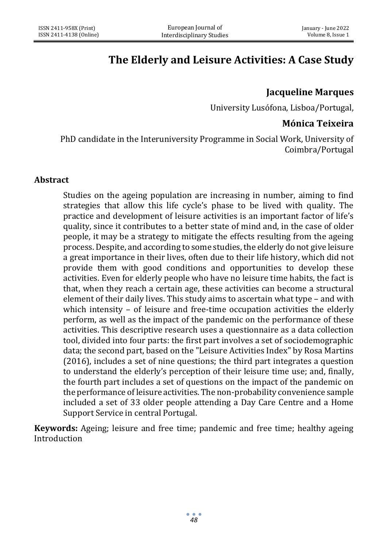# **The Elderly and Leisure Activities: A Case Study**

# **Jacqueline Marques**

University Lusófona, Lisboa/Portugal,

# **Mónica Teixeira**

PhD candidate in the Interuniversity Programme in Social Work, University of Coimbra/Portugal

### **Abstract**

Studies on the ageing population are increasing in number, aiming to find strategies that allow this life cycle's phase to be lived with quality. The practice and development of leisure activities is an important factor of life's quality, since it contributes to a better state of mind and, in the case of older people, it may be a strategy to mitigate the effects resulting from the ageing process. Despite, and according to some studies, the elderly do not give leisure a great importance in their lives, often due to their life history, which did not provide them with good conditions and opportunities to develop these activities. Even for elderly people who have no leisure time habits, the fact is that, when they reach a certain age, these activities can become a structural element of their daily lives. This study aims to ascertain what type – and with which intensity – of leisure and free-time occupation activities the elderly perform, as well as the impact of the pandemic on the performance of these activities. This descriptive research uses a questionnaire as a data collection tool, divided into four parts: the first part involves a set of sociodemographic data; the second part, based on the "Leisure Activities Index" by Rosa Martins (2016), includes a set of nine questions; the third part integrates a question to understand the elderly's perception of their leisure time use; and, finally, the fourth part includes a set of questions on the impact of the pandemic on the performance of leisure activities. The non-probability convenience sample included a set of 33 older people attending a Day Care Centre and a Home Support Service in central Portugal.

**Keywords:** Ageing; leisure and free time; pandemic and free time; healthy ageing Introduction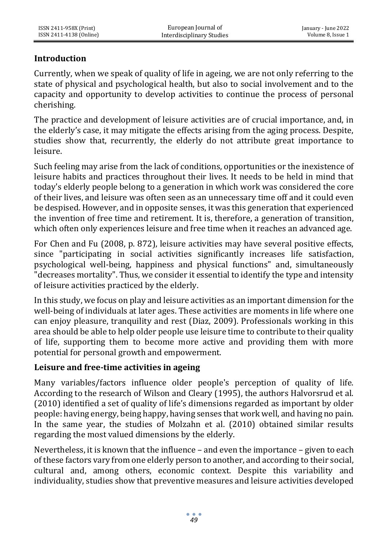# **Introduction**

Currently, when we speak of quality of life in ageing, we are not only referring to the state of physical and psychological health, but also to social involvement and to the capacity and opportunity to develop activities to continue the process of personal cherishing.

The practice and development of leisure activities are of crucial importance, and, in the elderly's case, it may mitigate the effects arising from the aging process. Despite, studies show that, recurrently, the elderly do not attribute great importance to leisure.

Such feeling may arise from the lack of conditions, opportunities or the inexistence of leisure habits and practices throughout their lives. It needs to be held in mind that today's elderly people belong to a generation in which work was considered the core of their lives, and leisure was often seen as an unnecessary time off and it could even be despised. However, and in opposite senses, it was this generation that experienced the invention of free time and retirement. It is, therefore, a generation of transition, which often only experiences leisure and free time when it reaches an advanced age.

For Chen and Fu (2008, p. 872), leisure activities may have several positive effects, since "participating in social activities significantly increases life satisfaction, psychological well-being, happiness and physical functions" and, simultaneously "decreases mortality". Thus, we consider it essential to identify the type and intensity of leisure activities practiced by the elderly.

In this study, we focus on play and leisure activities as an important dimension for the well-being of individuals at later ages. These activities are moments in life where one can enjoy pleasure, tranquility and rest (Diaz, 2009). Professionals working in this area should be able to help older people use leisure time to contribute to their quality of life, supporting them to become more active and providing them with more potential for personal growth and empowerment.

#### **Leisure and free-time activities in ageing**

Many variables/factors influence older people's perception of quality of life. According to the research of Wilson and Cleary (1995), the authors Halvorsrud et al. (2010) identified a set of quality of life's dimensions regarded as important by older people: having energy, being happy, having senses that work well, and having no pain. In the same year, the studies of Molzahn et al. (2010) obtained similar results regarding the most valued dimensions by the elderly.

Nevertheless, it is known that the influence – and even the importance – given to each of these factors vary from one elderly person to another, and according to their social, cultural and, among others, economic context. Despite this variability and individuality, studies show that preventive measures and leisure activities developed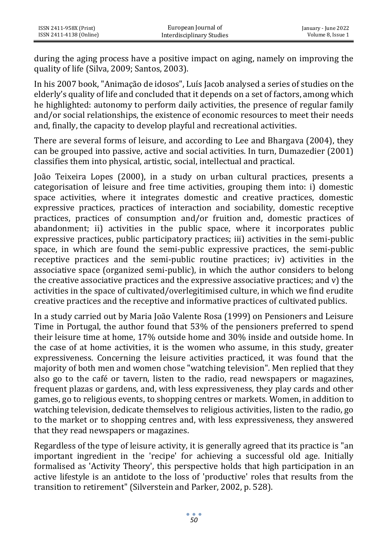during the aging process have a positive impact on aging, namely on improving the quality of life (Silva, 2009; Santos, 2003).

In his 2007 book, "Animação de idosos", Luís Jacob analysed a series of studies on the elderly's quality of life and concluded that it depends on a set of factors, among which he highlighted: autonomy to perform daily activities, the presence of regular family and/or social relationships, the existence of economic resources to meet their needs and, finally, the capacity to develop playful and recreational activities.

There are several forms of leisure, and according to Lee and Bhargava (2004), they can be grouped into passive, active and social activities. In turn, Dumazedier (2001) classifies them into physical, artistic, social, intellectual and practical.

João Teixeira Lopes (2000), in a study on urban cultural practices, presents a categorisation of leisure and free time activities, grouping them into: i) domestic space activities, where it integrates domestic and creative practices, domestic expressive practices, practices of interaction and sociability, domestic receptive practices, practices of consumption and/or fruition and, domestic practices of abandonment; ii) activities in the public space, where it incorporates public expressive practices, public participatory practices; iii) activities in the semi-public space, in which are found the semi-public expressive practices, the semi-public receptive practices and the semi-public routine practices; iv) activities in the associative space (organized semi-public), in which the author considers to belong the creative associative practices and the expressive associative practices; and v) the activities in the space of cultivated/overlegitimised culture, in which we find erudite creative practices and the receptive and informative practices of cultivated publics.

In a study carried out by Maria João Valente Rosa (1999) on Pensioners and Leisure Time in Portugal, the author found that 53% of the pensioners preferred to spend their leisure time at home, 17% outside home and 30% inside and outside home. In the case of at home activities, it is the women who assume, in this study, greater expressiveness. Concerning the leisure activities practiced, it was found that the majority of both men and women chose "watching television". Men replied that they also go to the café or tavern, listen to the radio, read newspapers or magazines, frequent plazas or gardens, and, with less expressiveness, they play cards and other games, go to religious events, to shopping centres or markets. Women, in addition to watching television, dedicate themselves to religious activities, listen to the radio, go to the market or to shopping centres and, with less expressiveness, they answered that they read newspapers or magazines.

Regardless of the type of leisure activity, it is generally agreed that its practice is "an important ingredient in the 'recipe' for achieving a successful old age. Initially formalised as 'Activity Theory', this perspective holds that high participation in an active lifestyle is an antidote to the loss of 'productive' roles that results from the transition to retirement" (Silverstein and Parker, 2002, p. 528).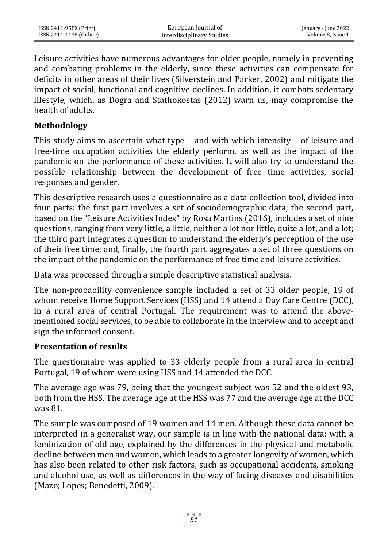Leisure activities have numerous advantages for older people, namely in preventing and combating problems in the elderly, since these activities can compensate for deficits in other areas of their lives (Silverstein and Parker, 2002) and mitigate the impact of social, functional and cognitive declines. In addition, it combats sedentary lifestyle, which, as Dogra and Stathokostas (2012) warn us, may compromise the health of adults.

#### **Methodology**

This study aims to ascertain what type – and with which intensity – of leisure and free-time occupation activities the elderly perform, as well as the impact of the pandemic on the performance of these activities. It will also try to understand the possible relationship between the development of free time activities, social responses and gender.

This descriptive research uses a questionnaire as a data collection tool, divided into four parts: the first part involves a set of sociodemographic data; the second part, based on the "Leisure Activities Index" by Rosa Martins (2016), includes a set of nine questions, ranging from very little, a little, neither a lot nor little, quite a lot, and a lot; the third part integrates a question to understand the elderly's perception of the use of their free time; and, finally, the fourth part aggregates a set of three questions on the impact of the pandemic on the performance of free time and leisure activities.

Data was processed through a simple descriptive statistical analysis.

The non-probability convenience sample included a set of 33 older people, 19 of whom receive Home Support Services (HSS) and 14 attend a Day Care Centre (DCC), in a rural area of central Portugal. The requirement was to attend the abovementioned social services, to be able to collaborate in the interview and to accept and sign the informed consent.

#### **Presentation of results**

The questionnaire was applied to 33 elderly people from a rural area in central Portugal, 19 of whom were using HSS and 14 attended the DCC.

The average age was 79, being that the youngest subject was 52 and the oldest 93, both from the HSS. The average age at the HSS was 77 and the average age at the DCC was 81.

The sample was composed of 19 women and 14 men. Although these data cannot be interpreted in a generalist way, our sample is in line with the national data: with a feminization of old age, explained by the differences in the physical and metabolic decline between men and women, which leads to a greater longevity of women, which has also been related to other risk factors, such as occupational accidents, smoking and alcohol use, as well as differences in the way of facing diseases and disabilities (Mazo; Lopes; Benedetti, 2009).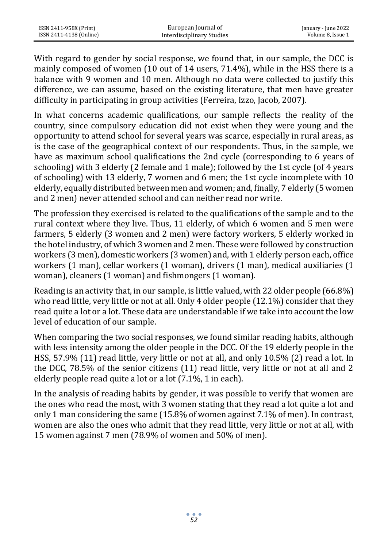ISSN 2411-958X (Print) ISSN 2411-4138 (Online)

With regard to gender by social response, we found that, in our sample, the DCC is mainly composed of women (10 out of 14 users, 71.4%), while in the HSS there is a balance with 9 women and 10 men. Although no data were collected to justify this difference, we can assume, based on the existing literature, that men have greater difficulty in participating in group activities (Ferreira, Izzo, Jacob, 2007).

In what concerns academic qualifications, our sample reflects the reality of the country, since compulsory education did not exist when they were young and the opportunity to attend school for several years was scarce, especially in rural areas, as is the case of the geographical context of our respondents. Thus, in the sample, we have as maximum school qualifications the 2nd cycle (corresponding to 6 years of schooling) with 3 elderly (2 female and 1 male); followed by the 1st cycle (of 4 years of schooling) with 13 elderly, 7 women and 6 men; the 1st cycle incomplete with 10 elderly, equally distributed between men and women; and, finally, 7 elderly (5 women and 2 men) never attended school and can neither read nor write.

The profession they exercised is related to the qualifications of the sample and to the rural context where they live. Thus, 11 elderly, of which 6 women and 5 men were farmers, 5 elderly (3 women and 2 men) were factory workers, 5 elderly worked in the hotel industry, of which 3 women and 2 men. These were followed by construction workers (3 men), domestic workers (3 women) and, with 1 elderly person each, office workers (1 man), cellar workers (1 woman), drivers (1 man), medical auxiliaries (1 woman), cleaners (1 woman) and fishmongers (1 woman).

Reading is an activity that, in our sample, is little valued, with 22 older people (66.8%) who read little, very little or not at all. Only 4 older people (12.1%) consider that they read quite a lot or a lot. These data are understandable if we take into account the low level of education of our sample.

When comparing the two social responses, we found similar reading habits, although with less intensity among the older people in the DCC. Of the 19 elderly people in the HSS, 57.9% (11) read little, very little or not at all, and only 10.5% (2) read a lot. In the DCC, 78.5% of the senior citizens (11) read little, very little or not at all and 2 elderly people read quite a lot or a lot (7.1%, 1 in each).

In the analysis of reading habits by gender, it was possible to verify that women are the ones who read the most, with 3 women stating that they read a lot quite a lot and only 1 man considering the same (15.8% of women against 7.1% of men). In contrast, women are also the ones who admit that they read little, very little or not at all, with 15 women against 7 men (78.9% of women and 50% of men).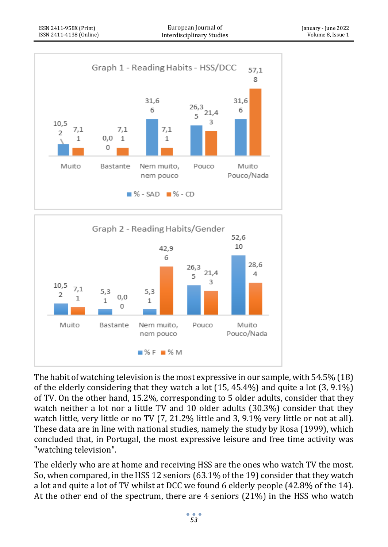



The habit of watching television is the most expressive in our sample, with 54.5% (18) of the elderly considering that they watch a lot (15, 45.4%) and quite a lot (3, 9.1%) of TV. On the other hand, 15.2%, corresponding to 5 older adults, consider that they watch neither a lot nor a little TV and 10 older adults (30.3%) consider that they watch little, very little or no TV (7, 21.2% little and 3, 9.1% very little or not at all). These data are in line with national studies, namely the study by Rosa (1999), which concluded that, in Portugal, the most expressive leisure and free time activity was "watching television".

The elderly who are at home and receiving HSS are the ones who watch TV the most. So, when compared, in the HSS 12 seniors (63.1% of the 19) consider that they watch a lot and quite a lot of TV whilst at DCC we found 6 elderly people (42.8% of the 14). At the other end of the spectrum, there are 4 seniors (21%) in the HSS who watch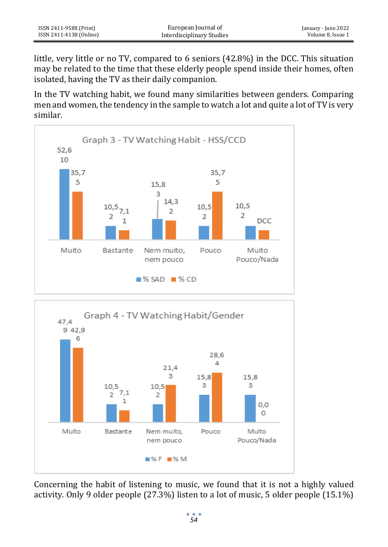little, very little or no TV, compared to 6 seniors (42.8%) in the DCC. This situation may be related to the time that these elderly people spend inside their homes, often isolated, having the TV as their daily companion.

In the TV watching habit, we found many similarities between genders. Comparing men and women, the tendency in the sample to watch a lot and quite a lot of TV is very similar.





Concerning the habit of listening to music, we found that it is not a highly valued activity. Only 9 older people (27.3%) listen to a lot of music, 5 older people (15.1%)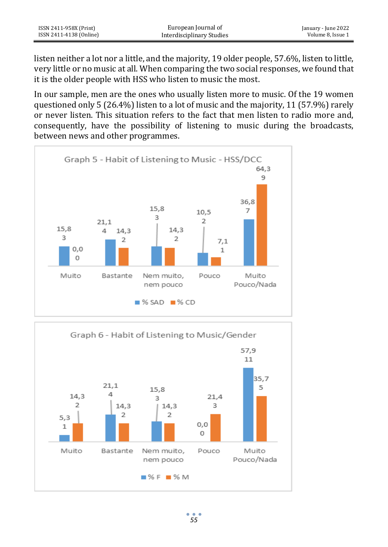| ISSN 2411-958X (Print)  | European Journal of       | January - June 2022 |
|-------------------------|---------------------------|---------------------|
| ISSN 2411-4138 (Online) | Interdisciplinary Studies | Volume 8. Issue 1   |

listen neither a lot nor a little, and the majority, 19 older people, 57.6%, listen to little, very little or no music at all. When comparing the two social responses, we found that it is the older people with HSS who listen to music the most.

In our sample, men are the ones who usually listen more to music. Of the 19 women questioned only 5 (26.4%) listen to a lot of music and the majority, 11 (57.9%) rarely or never listen. This situation refers to the fact that men listen to radio more and, consequently, have the possibility of listening to music during the broadcasts, between news and other programmes.



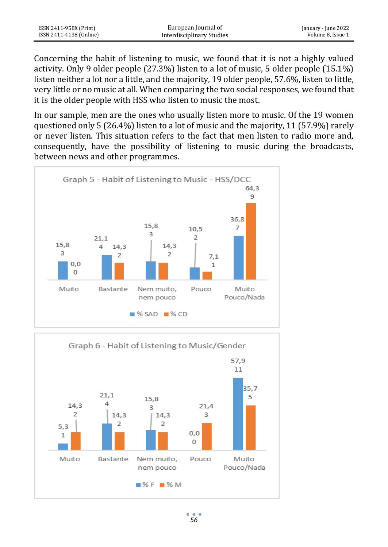Concerning the habit of listening to music, we found that it is not a highly valued activity. Only 9 older people (27.3%) listen to a lot of music, 5 older people (15.1%) listen neither a lot nor a little, and the majority, 19 older people, 57.6%, listen to little, very little or no music at all. When comparing the two social responses, we found that it is the older people with HSS who listen to music the most.

In our sample, men are the ones who usually listen more to music. Of the 19 women questioned only 5 (26.4%) listen to a lot of music and the majority, 11 (57.9%) rarely or never listen. This situation refers to the fact that men listen to radio more and, consequently, have the possibility of listening to music during the broadcasts, between news and other programmes.



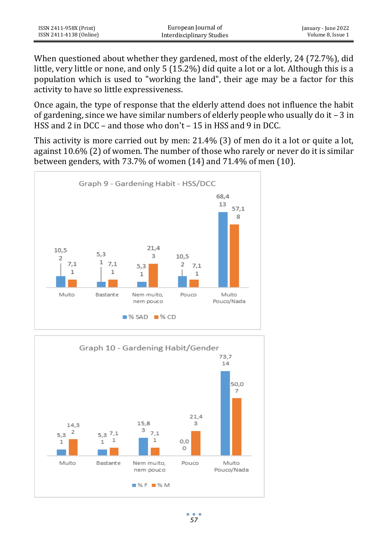| ISSN 2411-958X (Print)  | European Journal of       | January - June 2022 |
|-------------------------|---------------------------|---------------------|
| ISSN 2411-4138 (Online) | Interdisciplinary Studies | Volume 8. Issue 1   |

When questioned about whether they gardened, most of the elderly, 24 (72.7%), did little, very little or none, and only 5 (15.2%) did quite a lot or a lot. Although this is a population which is used to "working the land", their age may be a factor for this activity to have so little expressiveness.

Once again, the type of response that the elderly attend does not influence the habit of gardening, since we have similar numbers of elderly people who usually do it – 3 in HSS and 2 in DCC – and those who don't – 15 in HSS and 9 in DCC.

This activity is more carried out by men: 21.4% (3) of men do it a lot or quite a lot, against 10.6% (2) of women. The number of those who rarely or never do it is similar between genders, with 73.7% of women (14) and 71.4% of men (10).



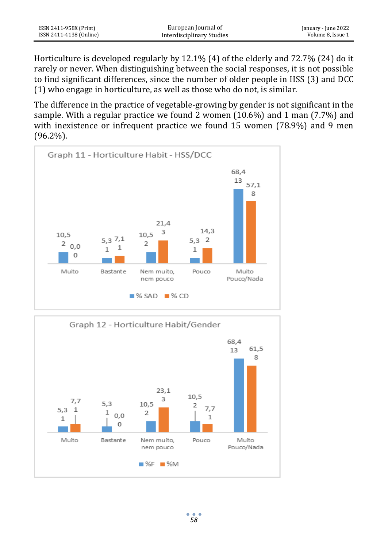Horticulture is developed regularly by 12.1% (4) of the elderly and 72.7% (24) do it rarely or never. When distinguishing between the social responses, it is not possible to find significant differences, since the number of older people in HSS (3) and DCC (1) who engage in horticulture, as well as those who do not, is similar.

The difference in the practice of vegetable-growing by gender is not significant in the sample. With a regular practice we found 2 women (10.6%) and 1 man (7.7%) and with inexistence or infrequent practice we found 15 women (78.9%) and 9 men (96.2%).



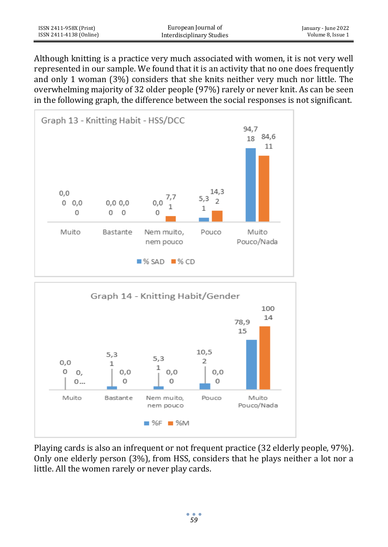| ISSN 2411-958X (Print)  | European Journal of       | January - June 2022 |
|-------------------------|---------------------------|---------------------|
| ISSN 2411-4138 (Online) | Interdisciplinary Studies | Volume 8, Issue 1   |

Although knitting is a practice very much associated with women, it is not very well represented in our sample. We found that it is an activity that no one does frequently and only 1 woman (3%) considers that she knits neither very much nor little. The overwhelming majority of 32 older people (97%) rarely or never knit. As can be seen in the following graph, the difference between the social responses is not significant.





Playing cards is also an infrequent or not frequent practice (32 elderly people, 97%). Only one elderly person (3%), from HSS, considers that he plays neither a lot nor a little. All the women rarely or never play cards.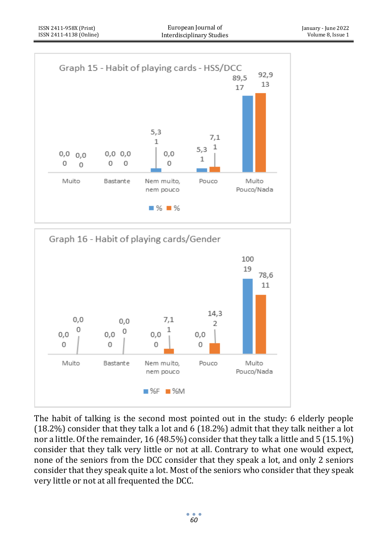



The habit of talking is the second most pointed out in the study: 6 elderly people (18.2%) consider that they talk a lot and 6 (18.2%) admit that they talk neither a lot nor a little. Of the remainder, 16 (48.5%) consider that they talk a little and 5 (15.1%) consider that they talk very little or not at all. Contrary to what one would expect, none of the seniors from the DCC consider that they speak a lot, and only 2 seniors consider that they speak quite a lot. Most of the seniors who consider that they speak very little or not at all frequented the DCC.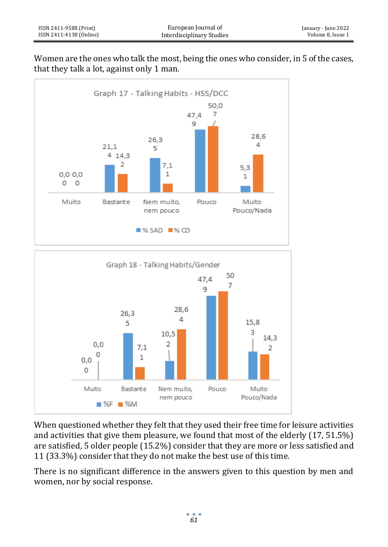





When questioned whether they felt that they used their free time for leisure activities and activities that give them pleasure, we found that most of the elderly (17, 51.5%) are satisfied, 5 older people (15.2%) consider that they are more or less satisfied and 11 (33.3%) consider that they do not make the best use of this time.

There is no significant difference in the answers given to this question by men and women, nor by social response.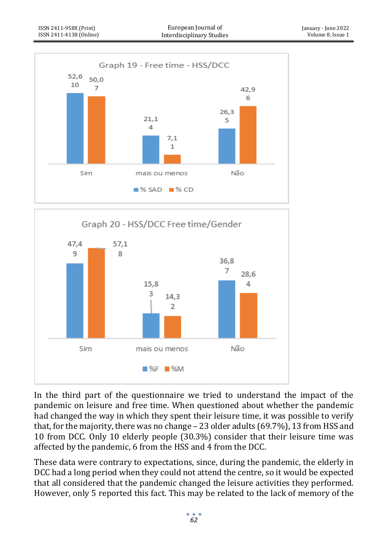



In the third part of the questionnaire we tried to understand the impact of the pandemic on leisure and free time. When questioned about whether the pandemic had changed the way in which they spent their leisure time, it was possible to verify that, for the majority, there was no change – 23 older adults (69.7%), 13 from HSS and 10 from DCC. Only 10 elderly people (30.3%) consider that their leisure time was affected by the pandemic, 6 from the HSS and 4 from the DCC.

These data were contrary to expectations, since, during the pandemic, the elderly in DCC had a long period when they could not attend the centre, so it would be expected that all considered that the pandemic changed the leisure activities they performed. However, only 5 reported this fact. This may be related to the lack of memory of the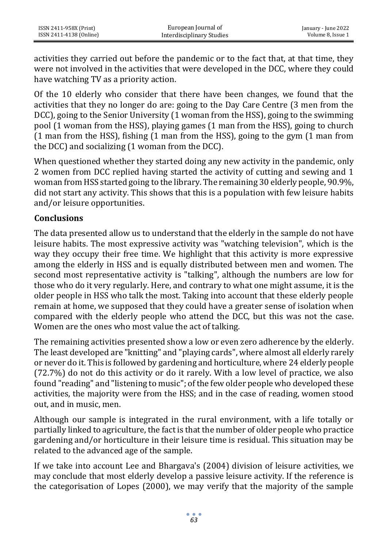activities they carried out before the pandemic or to the fact that, at that time, they were not involved in the activities that were developed in the DCC, where they could have watching TV as a priority action.

Of the 10 elderly who consider that there have been changes, we found that the activities that they no longer do are: going to the Day Care Centre (3 men from the DCC), going to the Senior University (1 woman from the HSS), going to the swimming pool (1 woman from the HSS), playing games (1 man from the HSS), going to church (1 man from the HSS), fishing (1 man from the HSS), going to the gym (1 man from the DCC) and socializing (1 woman from the DCC).

When questioned whether they started doing any new activity in the pandemic, only 2 women from DCC replied having started the activity of cutting and sewing and 1 woman from HSS started going to the library. The remaining 30 elderly people, 90.9%, did not start any activity. This shows that this is a population with few leisure habits and/or leisure opportunities.

### **Conclusions**

The data presented allow us to understand that the elderly in the sample do not have leisure habits. The most expressive activity was "watching television", which is the way they occupy their free time. We highlight that this activity is more expressive among the elderly in HSS and is equally distributed between men and women. The second most representative activity is "talking", although the numbers are low for those who do it very regularly. Here, and contrary to what one might assume, it is the older people in HSS who talk the most. Taking into account that these elderly people remain at home, we supposed that they could have a greater sense of isolation when compared with the elderly people who attend the DCC, but this was not the case. Women are the ones who most value the act of talking.

The remaining activities presented show a low or even zero adherence by the elderly. The least developed are "knitting" and "playing cards", where almost all elderly rarely or never do it. This is followed by gardening and horticulture, where 24 elderly people (72.7%) do not do this activity or do it rarely. With a low level of practice, we also found "reading" and "listening to music"; of the few older people who developed these activities, the majority were from the HSS; and in the case of reading, women stood out, and in music, men.

Although our sample is integrated in the rural environment, with a life totally or partially linked to agriculture, the fact is that the number of older people who practice gardening and/or horticulture in their leisure time is residual. This situation may be related to the advanced age of the sample.

If we take into account Lee and Bhargava's (2004) division of leisure activities, we may conclude that most elderly develop a passive leisure activity. If the reference is the categorisation of Lopes (2000), we may verify that the majority of the sample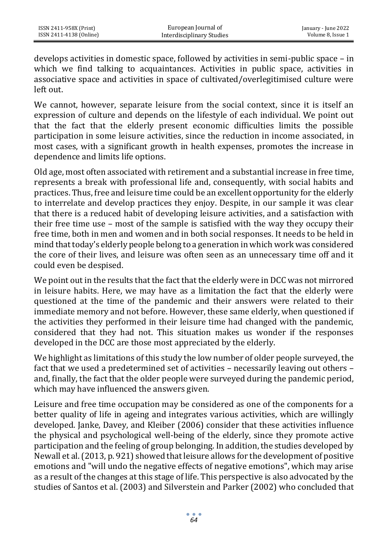develops activities in domestic space, followed by activities in semi-public space – in which we find talking to acquaintances. Activities in public space, activities in associative space and activities in space of cultivated/overlegitimised culture were left out.

We cannot, however, separate leisure from the social context, since it is itself an expression of culture and depends on the lifestyle of each individual. We point out that the fact that the elderly present economic difficulties limits the possible participation in some leisure activities, since the reduction in income associated, in most cases, with a significant growth in health expenses, promotes the increase in dependence and limits life options.

Old age, most often associated with retirement and a substantial increase in free time, represents a break with professional life and, consequently, with social habits and practices. Thus, free and leisure time could be an excellent opportunity for the elderly to interrelate and develop practices they enjoy. Despite, in our sample it was clear that there is a reduced habit of developing leisure activities, and a satisfaction with their free time use – most of the sample is satisfied with the way they occupy their free time, both in men and women and in both social responses. It needs to be held in mind that today's elderly people belong to a generation in which work was considered the core of their lives, and leisure was often seen as an unnecessary time off and it could even be despised.

We point out in the results that the fact that the elderly were in DCC was not mirrored in leisure habits. Here, we may have as a limitation the fact that the elderly were questioned at the time of the pandemic and their answers were related to their immediate memory and not before. However, these same elderly, when questioned if the activities they performed in their leisure time had changed with the pandemic, considered that they had not. This situation makes us wonder if the responses developed in the DCC are those most appreciated by the elderly.

We highlight as limitations of this study the low number of older people surveyed, the fact that we used a predetermined set of activities – necessarily leaving out others – and, finally, the fact that the older people were surveyed during the pandemic period, which may have influenced the answers given.

Leisure and free time occupation may be considered as one of the components for a better quality of life in ageing and integrates various activities, which are willingly developed. Janke, Davey, and Kleiber (2006) consider that these activities influence the physical and psychological well-being of the elderly, since they promote active participation and the feeling of group belonging. In addition, the studies developed by Newall et al. (2013, p. 921) showed that leisure allows for the development of positive emotions and "will undo the negative effects of negative emotions", which may arise as a result of the changes at this stage of life. This perspective is also advocated by the studies of Santos et al. (2003) and Silverstein and Parker (2002) who concluded that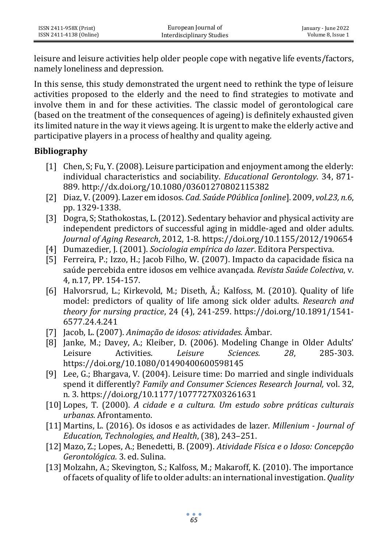leisure and leisure activities help older people cope with negative life events/factors, namely loneliness and depression.

In this sense, this study demonstrated the urgent need to rethink the type of leisure activities proposed to the elderly and the need to find strategies to motivate and involve them in and for these activities. The classic model of gerontological care (based on the treatment of the consequences of ageing) is definitely exhausted given its limited nature in the way it views ageing. It is urgent to make the elderly active and participative players in a process of healthy and quality ageing.

## **Bibliography**

- [1] Chen, S; Fu, Y. (2008). Leisure participation and enjoyment among the elderly: individual characteristics and sociability. *Educational Gerontology*. 34, 871- 889[. http://dx.doi.org/10.1080/03601270802115382](http://dx.doi.org/10.1080/03601270802115382)
- [2] Diaz, V. (2009). Lazer em idosos. *Cad. Saúde P0ública [online*]. 2009, *vol.23, n.6*, pp. 1329-1338.
- [3] Dogra, S; Stathokostas, L. (2012). Sedentary behavior and physical activity are independent predictors of successful aging in middle-aged and older adults. *Journal of Aging Research*, 2012, 1-8.<https://doi.org/10.1155/2012/190654>
- [4] Dumazedier, J. (2001). *Sociologia empírica do lazer*. Editora Perspectiva.
- [5] Ferreira, P.; Izzo, H.; Jacob Filho, W. (2007). Impacto da capacidade física na saúde percebida entre idosos em velhice avançada. *Revista Saúde Colectiva*, v. 4, n.17, PP. 154-157.
- [6] Halvorsrud, L.; Kirkevold, M.; Diseth, Å.; Kalfoss, M. (2010). Quality of life model: predictors of quality of life among sick older adults. *Research and theory for nursing practice*, 24 (4), 241-259. [https://doi.org/10.1891/1541-](https://doi.org/10.1891/1541-6577.24.4.241) [6577.24.4.241](https://doi.org/10.1891/1541-6577.24.4.241)
- [7] Jacob, L. (2007). *Animação de idosos: atividades.* Âmbar.
- [8] Janke, M.; Davey, A.; Kleiber, D. (2006). Modeling Change in Older Adults' Leisure Activities. *Leisure Sciences. 28*, 285-303. <https://doi.org/10.1080/01490400600598145>
- [9] Lee, G.; Bhargava, V. (2004). Leisure time: Do married and single individuals spend it differently? *Family and Consumer Sciences Research Journal,* vol. 32, n. 3.<https://doi.org/10.1177/1077727X03261631>
- [10] Lopes, T. (2000). *A cidade e a cultura. Um estudo sobre práticas culturais urbanas.* Afrontamento.
- [11] Martins, L. (2016). Os idosos e as actividades de lazer. *Millenium - Journal of Education, Technologies, and Health*, (38), 243–251.
- [12] Mazo, Z.; Lopes, A.; Benedetti, B. (2009). *Atividade Física e o Idoso: Concepção Gerontológica.* 3. ed. Sulina.
- [13] Molzahn, A.; Skevington, S.; Kalfoss, M.; Makaroff, K. (2010). The importance of facets of quality of life to older adults: an international investigation. *Quality*